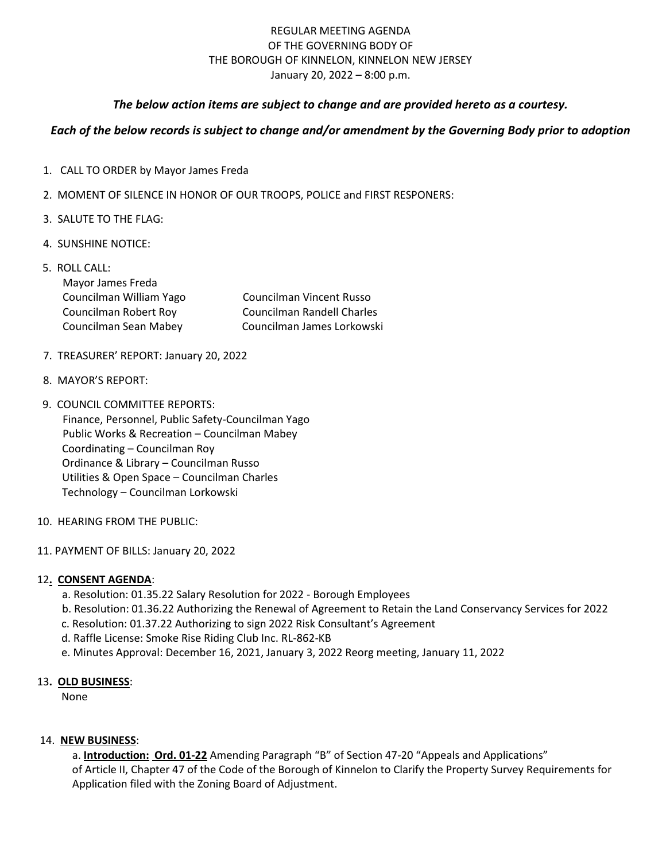# REGULAR MEETING AGENDA OF THE GOVERNING BODY OF THE BOROUGH OF KINNELON, KINNELON NEW JERSEY January 20, 2022 – 8:00 p.m.

### *The below action items are subject to change and are provided hereto as a courtesy.*

## *Each of the below records is subject to change and/or amendment by the Governing Body prior to adoption*

- 1. CALL TO ORDER by Mayor James Freda
- 2. MOMENT OF SILENCE IN HONOR OF OUR TROOPS, POLICE and FIRST RESPONERS:
- 3. SALUTE TO THE FLAG:
- 4. SUNSHINE NOTICE:

| Councilman Randell Charles      |  |
|---------------------------------|--|
| Councilman James Lorkowski      |  |
| <b>Councilman Vincent Russo</b> |  |

- 7. TREASURER' REPORT: January 20, 2022
- 8. MAYOR'S REPORT:
- 9. COUNCIL COMMITTEE REPORTS: Finance, Personnel, Public Safety-Councilman Yago Public Works & Recreation – Councilman Mabey Coordinating – Councilman Roy Ordinance & Library – Councilman Russo Utilities & Open Space – Councilman Charles Technology – Councilman Lorkowski
- 10. HEARING FROM THE PUBLIC:
- 11. PAYMENT OF BILLS: January 20, 2022

#### 12**. CONSENT AGENDA**:

- a. Resolution: 01.35.22 Salary Resolution for 2022 Borough Employees
- b. Resolution: 01.36.22 Authorizing the Renewal of Agreement to Retain the Land Conservancy Services for 2022
- c. Resolution: 01.37.22 Authorizing to sign 2022 Risk Consultant's Agreement
- d. Raffle License: Smoke Rise Riding Club Inc. RL-862-KB
- e. Minutes Approval: December 16, 2021, January 3, 2022 Reorg meeting, January 11, 2022

#### 13**. OLD BUSINESS**:

None

### 14. **NEW BUSINESS**:

 a. **Introduction: Ord. 01-22** Amending Paragraph "B" of Section 47-20 "Appeals and Applications" of Article II, Chapter 47 of the Code of the Borough of Kinnelon to Clarify the Property Survey Requirements for Application filed with the Zoning Board of Adjustment.